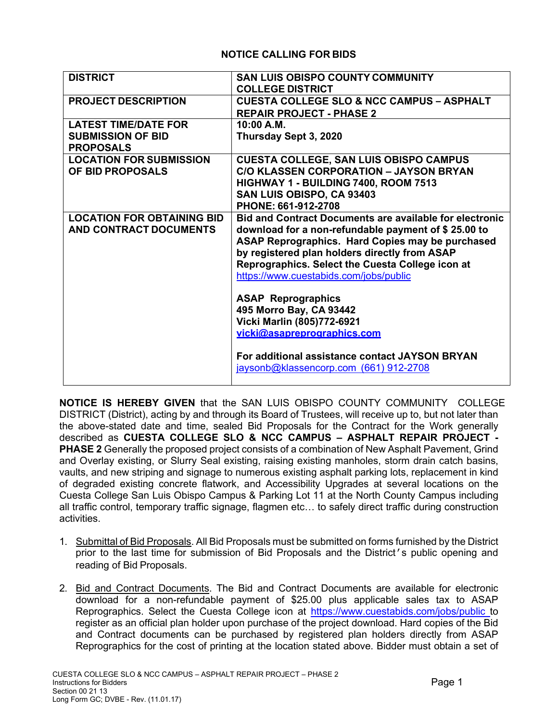## **NOTICE CALLING FOR BIDS**

| <b>DISTRICT</b>                   | <b>SAN LUIS OBISPO COUNTY COMMUNITY</b>                        |
|-----------------------------------|----------------------------------------------------------------|
|                                   | <b>COLLEGE DISTRICT</b>                                        |
| <b>PROJECT DESCRIPTION</b>        | <b>CUESTA COLLEGE SLO &amp; NCC CAMPUS - ASPHALT</b>           |
|                                   | <b>REPAIR PROJECT - PHASE 2</b>                                |
| <b>LATEST TIME/DATE FOR</b>       | 10:00 A.M.                                                     |
| <b>SUBMISSION OF BID</b>          | Thursday Sept 3, 2020                                          |
| <b>PROPOSALS</b>                  |                                                                |
| <b>LOCATION FOR SUBMISSION</b>    | <b>CUESTA COLLEGE, SAN LUIS OBISPO CAMPUS</b>                  |
| OF BID PROPOSALS                  | <b>C/O KLASSEN CORPORATION - JAYSON BRYAN</b>                  |
|                                   |                                                                |
|                                   | HIGHWAY 1 - BUILDING 7400, ROOM 7513                           |
|                                   | SAN LUIS OBISPO, CA 93403                                      |
|                                   | PHONE: 661-912-2708                                            |
| <b>LOCATION FOR OBTAINING BID</b> | <b>Bid and Contract Documents are available for electronic</b> |
| AND CONTRACT DOCUMENTS            | download for a non-refundable payment of \$25.00 to            |
|                                   | ASAP Reprographics. Hard Copies may be purchased               |
|                                   | by registered plan holders directly from ASAP                  |
|                                   | Reprographics. Select the Cuesta College icon at               |
|                                   | https://www.cuestabids.com/jobs/public                         |
|                                   |                                                                |
|                                   | <b>ASAP Reprographics</b>                                      |
|                                   |                                                                |
|                                   | 495 Morro Bay, CA 93442                                        |
|                                   | Vicki Marlin (805)772-6921                                     |
|                                   | vicki@asapreprographics.com                                    |
|                                   | For additional assistance contact JAYSON BRYAN                 |
|                                   | jaysonb@klassencorp.com (661) 912-2708                         |
|                                   |                                                                |

**NOTICE IS HEREBY GIVEN** that the SAN LUIS OBISPO COUNTY COMMUNITY COLLEGE DISTRICT (District), acting by and through its Board of Trustees, will receive up to, but not later than the above-stated date and time, sealed Bid Proposals for the Contract for the Work generally described as **CUESTA COLLEGE SLO & NCC CAMPUS – ASPHALT REPAIR PROJECT - PHASE 2** Generally the proposed project consists of a combination of New Asphalt Pavement, Grind and Overlay existing, or Slurry Seal existing, raising existing manholes, storm drain catch basins, vaults, and new striping and signage to numerous existing asphalt parking lots, replacement in kind of degraded existing concrete flatwork, and Accessibility Upgrades at several locations on the Cuesta College San Luis Obispo Campus & Parking Lot 11 at the North County Campus including all traffic control, temporary traffic signage, flagmen etc… to safely direct traffic during construction activities.

- 1. Submittal of Bid Proposals. All Bid Proposals must be submitted on forms furnished by the District prior to the last time for submission of Bid Proposals and the District's public opening and reading of Bid Proposals.
- 2. Bid and Contract Documents. The Bid and Contract Documents are available for electronic download for a non-refundable payment of \$25.00 plus applicable sales tax to ASAP Reprographics. Select the Cuesta College icon at https://www.cuestabids.com/jobs/public to register as an official plan holder upon purchase of the project download. Hard copies of the Bid and Contract documents can be purchased by registered plan holders directly from ASAP Reprographics for the cost of printing at the location stated above. Bidder must obtain a set of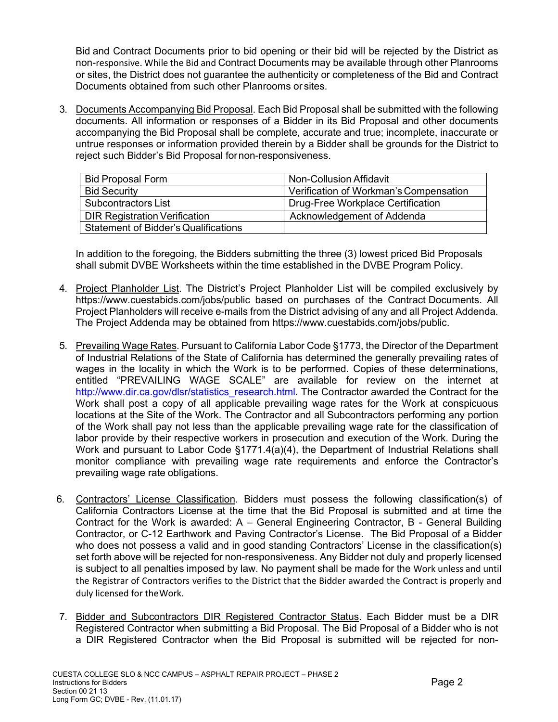Bid and Contract Documents prior to bid opening or their bid will be rejected by the District as non-responsive. While the Bid and Contract Documents may be available through other Planrooms or sites, the District does not guarantee the authenticity or completeness of the Bid and Contract Documents obtained from such other Planrooms or sites.

3. Documents Accompanying Bid Proposal. Each Bid Proposal shall be submitted with the following documents. All information or responses of a Bidder in its Bid Proposal and other documents accompanying the Bid Proposal shall be complete, accurate and true; incomplete, inaccurate or untrue responses or information provided therein by a Bidder shall be grounds for the District to reject such Bidder's Bid Proposal for non-responsiveness.

| <b>Bid Proposal Form</b>                    | Non-Collusion Affidavit                |
|---------------------------------------------|----------------------------------------|
| <b>Bid Security</b>                         | Verification of Workman's Compensation |
| Subcontractors List                         | Drug-Free Workplace Certification      |
| <b>DIR Registration Verification</b>        | Acknowledgement of Addenda             |
| <b>Statement of Bidder's Qualifications</b> |                                        |

In addition to the foregoing, the Bidders submitting the three (3) lowest priced Bid Proposals shall submit DVBE Worksheets within the time established in the DVBE Program Policy.

- 4. Project Planholder List. The District's Project Planholder List will be compiled exclusively by https://www.cuestabids.com/jobs/public based on purchases of the Contract Documents. All Project Planholders will receive e-mails from the District advising of any and all Project Addenda. The Project Addenda may be obtained from https://www.cuestabids.com/jobs/public.
- 5. Prevailing Wage Rates. Pursuant to California Labor Code §1773, the Director of the Department of Industrial Relations of the State of California has determined the generally prevailing rates of wages in the locality in which the Work is to be performed. Copies of these determinations, entitled "PREVAILING WAGE SCALE" are available for review on the internet at http://www.dir.ca.gov/dlsr/statistics\_research.html. The Contractor awarded the Contract for the Work shall post a copy of all applicable prevailing wage rates for the Work at conspicuous locations at the Site of the Work. The Contractor and all Subcontractors performing any portion of the Work shall pay not less than the applicable prevailing wage rate for the classification of labor provide by their respective workers in prosecution and execution of the Work. During the Work and pursuant to Labor Code §1771.4(a)(4), the Department of Industrial Relations shall monitor compliance with prevailing wage rate requirements and enforce the Contractor's prevailing wage rate obligations.
- 6. Contractors' License Classification. Bidders must possess the following classification(s) of California Contractors License at the time that the Bid Proposal is submitted and at time the Contract for the Work is awarded: A – General Engineering Contractor, B - General Building Contractor, or C-12 Earthwork and Paving Contractor's License. The Bid Proposal of a Bidder who does not possess a valid and in good standing Contractors' License in the classification(s) set forth above will be rejected for non-responsiveness. Any Bidder not duly and properly licensed is subject to all penalties imposed by law. No payment shall be made for the Work unless and until the Registrar of Contractors verifies to the District that the Bidder awarded the Contract is properly and duly licensed for the Work.
- 7. Bidder and Subcontractors DIR Registered Contractor Status. Each Bidder must be a DIR Registered Contractor when submitting a Bid Proposal. The Bid Proposal of a Bidder who is not a DIR Registered Contractor when the Bid Proposal is submitted will be rejected for non-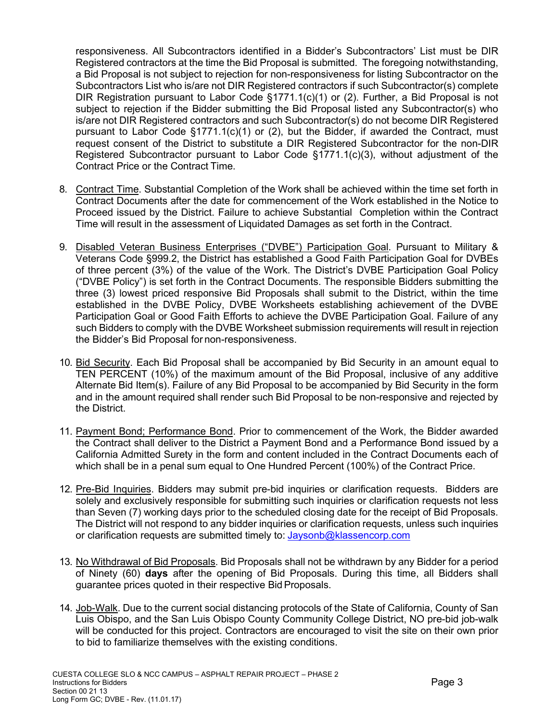responsiveness. All Subcontractors identified in a Bidder's Subcontractors' List must be DIR Registered contractors at the time the Bid Proposal is submitted. The foregoing notwithstanding, a Bid Proposal is not subject to rejection for non-responsiveness for listing Subcontractor on the Subcontractors List who is/are not DIR Registered contractors if such Subcontractor(s) complete DIR Registration pursuant to Labor Code §1771.1(c)(1) or (2). Further, a Bid Proposal is not subject to rejection if the Bidder submitting the Bid Proposal listed any Subcontractor(s) who is/are not DIR Registered contractors and such Subcontractor(s) do not become DIR Registered pursuant to Labor Code  $\S1771.1(c)(1)$  or (2), but the Bidder, if awarded the Contract, must request consent of the District to substitute a DIR Registered Subcontractor for the non-DIR Registered Subcontractor pursuant to Labor Code §1771.1(c)(3), without adjustment of the Contract Price or the Contract Time.

- 8. Contract Time. Substantial Completion of the Work shall be achieved within the time set forth in Contract Documents after the date for commencement of the Work established in the Notice to Proceed issued by the District. Failure to achieve Substantial Completion within the Contract Time will result in the assessment of Liquidated Damages as set forth in the Contract.
- 9. Disabled Veteran Business Enterprises ("DVBE") Participation Goal. Pursuant to Military & Veterans Code §999.2, the District has established a Good Faith Participation Goal for DVBEs of three percent (3%) of the value of the Work. The District's DVBE Participation Goal Policy ("DVBE Policy") is set forth in the Contract Documents. The responsible Bidders submitting the three (3) lowest priced responsive Bid Proposals shall submit to the District, within the time established in the DVBE Policy, DVBE Worksheets establishing achievement of the DVBE Participation Goal or Good Faith Efforts to achieve the DVBE Participation Goal. Failure of any such Bidders to comply with the DVBE Worksheet submission requirements will result in rejection the Bidder's Bid Proposal for non-responsiveness.
- 10. Bid Security. Each Bid Proposal shall be accompanied by Bid Security in an amount equal to TEN PERCENT (10%) of the maximum amount of the Bid Proposal, inclusive of any additive Alternate Bid Item(s). Failure of any Bid Proposal to be accompanied by Bid Security in the form and in the amount required shall render such Bid Proposal to be non-responsive and rejected by the District.
- 11. Payment Bond; Performance Bond. Prior to commencement of the Work, the Bidder awarded the Contract shall deliver to the District a Payment Bond and a Performance Bond issued by a California Admitted Surety in the form and content included in the Contract Documents each of which shall be in a penal sum equal to One Hundred Percent (100%) of the Contract Price.
- 12. Pre-Bid Inquiries. Bidders may submit pre-bid inquiries or clarification requests. Bidders are solely and exclusively responsible for submitting such inquiries or clarification requests not less than Seven (7) working days prior to the scheduled closing date for the receipt of Bid Proposals. The District will not respond to any bidder inquiries or clarification requests, unless such inquiries or clarification requests are submitted timely to: Jaysonb@klassencorp.com
- 13. No Withdrawal of Bid Proposals. Bid Proposals shall not be withdrawn by any Bidder for a period of Ninety (60) **days** after the opening of Bid Proposals. During this time, all Bidders shall guarantee prices quoted in their respective Bid Proposals.
- 14. Job-Walk. Due to the current social distancing protocols of the State of California, County of San Luis Obispo, and the San Luis Obispo County Community College District, NO pre-bid job-walk will be conducted for this project. Contractors are encouraged to visit the site on their own prior to bid to familiarize themselves with the existing conditions.